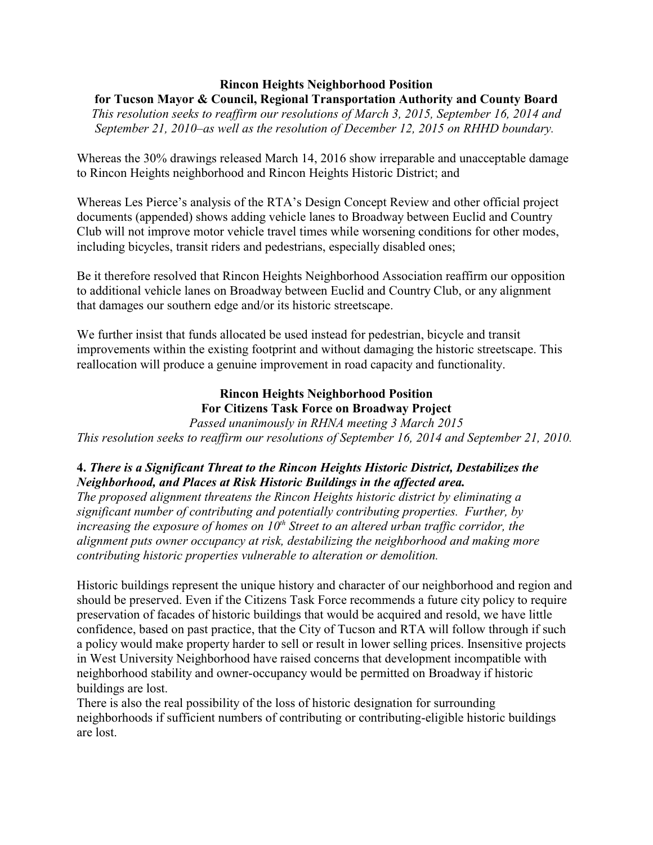### **Rincon Heights Neighborhood Position for Tucson Mayor & Council, Regional Transportation Authority and County Board**

*This resolution seeks to reaffirm our resolutions of March 3, 2015, September 16, 2014 and September 21, 2010–as well as the resolution of December 12, 2015 on RHHD boundary.* 

Whereas the 30% drawings released March 14, 2016 show irreparable and unacceptable damage to Rincon Heights neighborhood and Rincon Heights Historic District; and

Whereas Les Pierce's analysis of the RTA's Design Concept Review and other official project documents (appended) shows adding vehicle lanes to Broadway between Euclid and Country Club will not improve motor vehicle travel times while worsening conditions for other modes, including bicycles, transit riders and pedestrians, especially disabled ones;

Be it therefore resolved that Rincon Heights Neighborhood Association reaffirm our opposition to additional vehicle lanes on Broadway between Euclid and Country Club, or any alignment that damages our southern edge and/or its historic streetscape.

We further insist that funds allocated be used instead for pedestrian, bicycle and transit improvements within the existing footprint and without damaging the historic streetscape. This reallocation will produce a genuine improvement in road capacity and functionality.

# **Rincon Heights Neighborhood Position For Citizens Task Force on Broadway Project**

*Passed unanimously in RHNA meeting 3 March 2015 This resolution seeks to reaffirm our resolutions of September 16, 2014 and September 21, 2010.* 

# **4.** *There is a Significant Threat to the Rincon Heights Historic District, Destabilizes the Neighborhood, and Places at Risk Historic Buildings in the affected area.*

*The proposed alignment threatens the Rincon Heights historic district by eliminating a significant number of contributing and potentially contributing properties. Further, by increasing the exposure of homes on*  $10<sup>th</sup>$  *Street to an altered urban traffic corridor, the alignment puts owner occupancy at risk, destabilizing the neighborhood and making more contributing historic properties vulnerable to alteration or demolition.* 

Historic buildings represent the unique history and character of our neighborhood and region and should be preserved. Even if the Citizens Task Force recommends a future city policy to require preservation of facades of historic buildings that would be acquired and resold, we have little confidence, based on past practice, that the City of Tucson and RTA will follow through if such a policy would make property harder to sell or result in lower selling prices. Insensitive projects in West University Neighborhood have raised concerns that development incompatible with neighborhood stability and owner-occupancy would be permitted on Broadway if historic buildings are lost.

There is also the real possibility of the loss of historic designation for surrounding neighborhoods if sufficient numbers of contributing or contributing-eligible historic buildings are lost.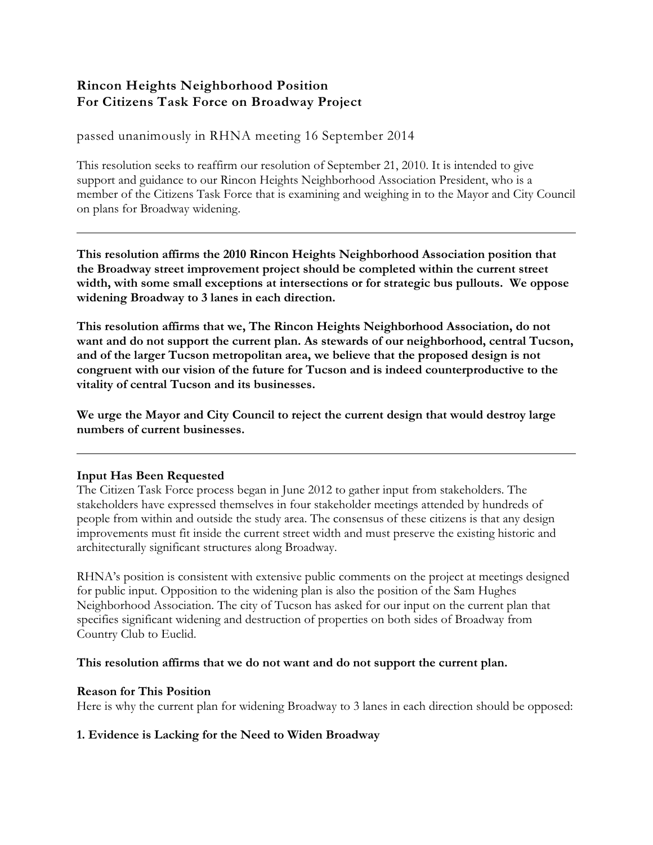# **Rincon Heights Neighborhood Position For Citizens Task Force on Broadway Project**

passed unanimously in RHNA meeting 16 September 2014

This resolution seeks to reaffirm our resolution of September 21, 2010. It is intended to give support and guidance to our Rincon Heights Neighborhood Association President, who is a member of the Citizens Task Force that is examining and weighing in to the Mayor and City Council on plans for Broadway widening.

**This resolution affirms the 2010 Rincon Heights Neighborhood Association position that the Broadway street improvement project should be completed within the current street width, with some small exceptions at intersections or for strategic bus pullouts. We oppose widening Broadway to 3 lanes in each direction.** 

**This resolution affirms that we, The Rincon Heights Neighborhood Association, do not want and do not support the current plan. As stewards of our neighborhood, central Tucson, and of the larger Tucson metropolitan area, we believe that the proposed design is not congruent with our vision of the future for Tucson and is indeed counterproductive to the vitality of central Tucson and its businesses.** 

**We urge the Mayor and City Council to reject the current design that would destroy large numbers of current businesses.**

### **Input Has Been Requested**

The Citizen Task Force process began in June 2012 to gather input from stakeholders. The stakeholders have expressed themselves in four stakeholder meetings attended by hundreds of people from within and outside the study area. The consensus of these citizens is that any design improvements must fit inside the current street width and must preserve the existing historic and architecturally significant structures along Broadway.

RHNA's position is consistent with extensive public comments on the project at meetings designed for public input. Opposition to the widening plan is also the position of the Sam Hughes Neighborhood Association. The city of Tucson has asked for our input on the current plan that specifies significant widening and destruction of properties on both sides of Broadway from Country Club to Euclid.

### **This resolution affirms that we do not want and do not support the current plan.**

### **Reason for This Position**

Here is why the current plan for widening Broadway to 3 lanes in each direction should be opposed:

### **1. Evidence is Lacking for the Need to Widen Broadway**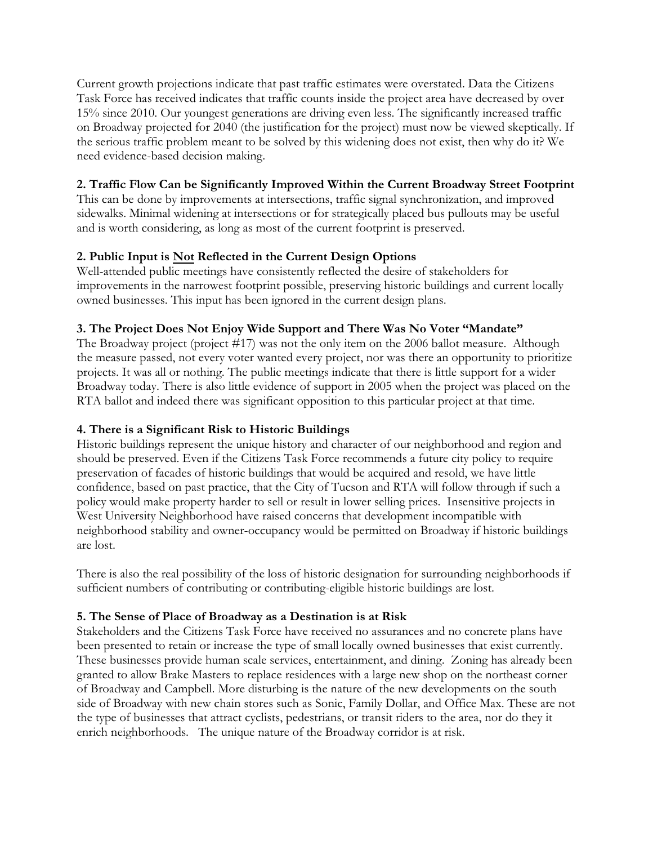Current growth projections indicate that past traffic estimates were overstated. Data the Citizens Task Force has received indicates that traffic counts inside the project area have decreased by over 15% since 2010. Our youngest generations are driving even less. The significantly increased traffic on Broadway projected for 2040 (the justification for the project) must now be viewed skeptically. If the serious traffic problem meant to be solved by this widening does not exist, then why do it? We need evidence-based decision making.

## **2. Traffic Flow Can be Significantly Improved Within the Current Broadway Street Footprint**

This can be done by improvements at intersections, traffic signal synchronization, and improved sidewalks. Minimal widening at intersections or for strategically placed bus pullouts may be useful and is worth considering, as long as most of the current footprint is preserved.

## **2. Public Input is Not Reflected in the Current Design Options**

Well-attended public meetings have consistently reflected the desire of stakeholders for improvements in the narrowest footprint possible, preserving historic buildings and current locally owned businesses. This input has been ignored in the current design plans.

### **3. The Project Does Not Enjoy Wide Support and There Was No Voter "Mandate"**

The Broadway project (project #17) was not the only item on the 2006 ballot measure. Although the measure passed, not every voter wanted every project, nor was there an opportunity to prioritize projects. It was all or nothing. The public meetings indicate that there is little support for a wider Broadway today. There is also little evidence of support in 2005 when the project was placed on the RTA ballot and indeed there was significant opposition to this particular project at that time.

### **4. There is a Significant Risk to Historic Buildings**

Historic buildings represent the unique history and character of our neighborhood and region and should be preserved. Even if the Citizens Task Force recommends a future city policy to require preservation of facades of historic buildings that would be acquired and resold, we have little confidence, based on past practice, that the City of Tucson and RTA will follow through if such a policy would make property harder to sell or result in lower selling prices. Insensitive projects in West University Neighborhood have raised concerns that development incompatible with neighborhood stability and owner-occupancy would be permitted on Broadway if historic buildings are lost.

There is also the real possibility of the loss of historic designation for surrounding neighborhoods if sufficient numbers of contributing or contributing-eligible historic buildings are lost.

### **5. The Sense of Place of Broadway as a Destination is at Risk**

Stakeholders and the Citizens Task Force have received no assurances and no concrete plans have been presented to retain or increase the type of small locally owned businesses that exist currently. These businesses provide human scale services, entertainment, and dining. Zoning has already been granted to allow Brake Masters to replace residences with a large new shop on the northeast corner of Broadway and Campbell. More disturbing is the nature of the new developments on the south side of Broadway with new chain stores such as Sonic, Family Dollar, and Office Max. These are not the type of businesses that attract cyclists, pedestrians, or transit riders to the area, nor do they it enrich neighborhoods. The unique nature of the Broadway corridor is at risk.